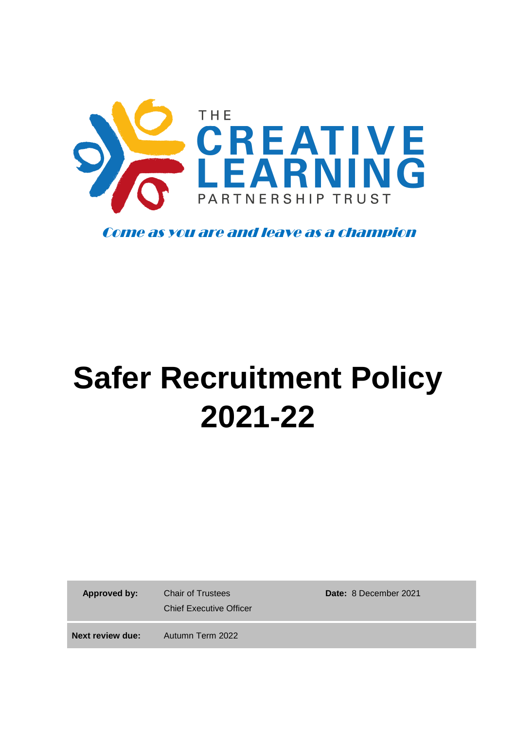

Come as you are and leave as a champion

# **Safer Recruitment Policy 2021-22**

 **Approved by:** Chair of Trustees

Chief Executive Officer

**Date:** 8 December 2021

**Next review due:** Autumn Term 2022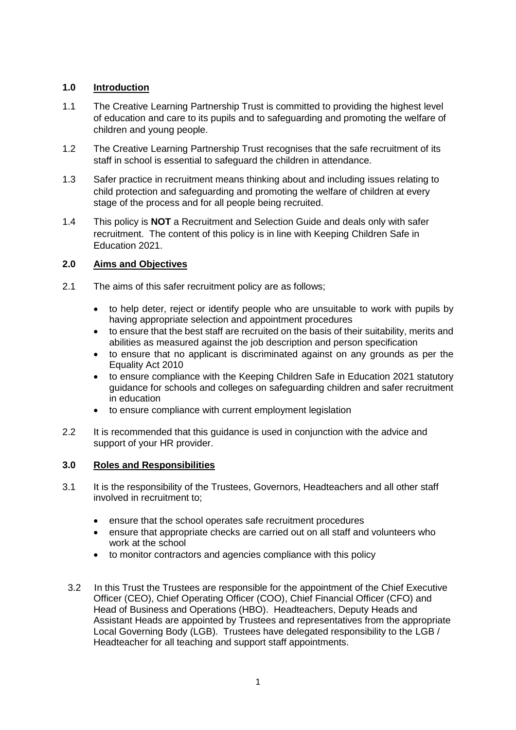# **1.0 Introduction**

- 1.1 The Creative Learning Partnership Trust is committed to providing the highest level of education and care to its pupils and to safeguarding and promoting the welfare of children and young people.
- 1.2 The Creative Learning Partnership Trust recognises that the safe recruitment of its staff in school is essential to safeguard the children in attendance.
- 1.3 Safer practice in recruitment means thinking about and including issues relating to child protection and safeguarding and promoting the welfare of children at every stage of the process and for all people being recruited.
- 1.4 This policy is **NOT** a Recruitment and Selection Guide and deals only with safer recruitment. The content of this policy is in line with Keeping Children Safe in Education 2021.

# **2.0 Aims and Objectives**

- 2.1 The aims of this safer recruitment policy are as follows;
	- to help deter, reject or identify people who are unsuitable to work with pupils by having appropriate selection and appointment procedures
	- to ensure that the best staff are recruited on the basis of their suitability, merits and abilities as measured against the job description and person specification
	- to ensure that no applicant is discriminated against on any grounds as per the Equality Act 2010
	- to ensure compliance with the Keeping Children Safe in Education 2021 statutory guidance for schools and colleges on safeguarding children and safer recruitment in education
	- to ensure compliance with current employment legislation
- 2.2 It is recommended that this guidance is used in conjunction with the advice and support of your HR provider.

## **3.0 Roles and Responsibilities**

- 3.1 It is the responsibility of the Trustees, Governors, Headteachers and all other staff involved in recruitment to;
	- ensure that the school operates safe recruitment procedures
	- ensure that appropriate checks are carried out on all staff and volunteers who work at the school
	- to monitor contractors and agencies compliance with this policy
	- 3.2 In this Trust the Trustees are responsible for the appointment of the Chief Executive Officer (CEO), Chief Operating Officer (COO), Chief Financial Officer (CFO) and Head of Business and Operations (HBO). Headteachers, Deputy Heads and Assistant Heads are appointed by Trustees and representatives from the appropriate Local Governing Body (LGB). Trustees have delegated responsibility to the LGB / Headteacher for all teaching and support staff appointments.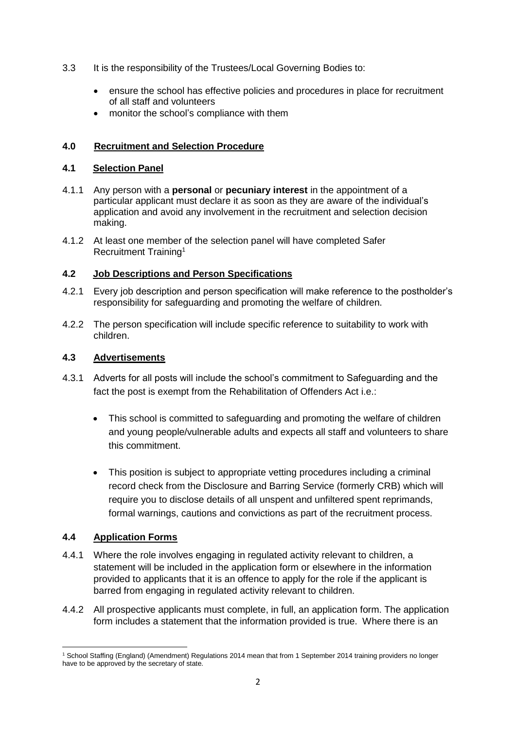- 3.3 It is the responsibility of the Trustees/Local Governing Bodies to:
	- ensure the school has effective policies and procedures in place for recruitment of all staff and volunteers
	- monitor the school's compliance with them

# **4.0 Recruitment and Selection Procedure**

## **4.1 Selection Panel**

- 4.1.1 Any person with a **personal** or **pecuniary interest** in the appointment of a particular applicant must declare it as soon as they are aware of the individual's application and avoid any involvement in the recruitment and selection decision making.
- 4.1.2 At least one member of the selection panel will have completed Safer Recruitment Training<sup>1</sup>

# **4.2 Job Descriptions and Person Specifications**

- 4.2.1 Every job description and person specification will make reference to the postholder's responsibility for safeguarding and promoting the welfare of children.
- 4.2.2 The person specification will include specific reference to suitability to work with children.

# **4.3 Advertisements**

- 4.3.1 Adverts for all posts will include the school's commitment to Safeguarding and the fact the post is exempt from the Rehabilitation of Offenders Act i.e.:
	- This school is committed to safeguarding and promoting the welfare of children and young people/vulnerable adults and expects all staff and volunteers to share this commitment.
	- This position is subject to appropriate vetting procedures including a criminal record check from the Disclosure and Barring Service (formerly CRB) which will require you to disclose details of all unspent and unfiltered spent reprimands, formal warnings, cautions and convictions as part of the recruitment process.

# **4.4 Application Forms**

- 4.4.1 Where the role involves engaging in regulated activity relevant to children, a statement will be included in the application form or elsewhere in the information provided to applicants that it is an offence to apply for the role if the applicant is barred from engaging in regulated activity relevant to children.
- 4.4.2 All prospective applicants must complete, in full, an application form. The application form includes a statement that the information provided is true. Where there is an

**<sup>.</sup>** <sup>1</sup> School Staffing (England) (Amendment) Regulations 2014 mean that from 1 September 2014 training providers no longer have to be approved by the secretary of state.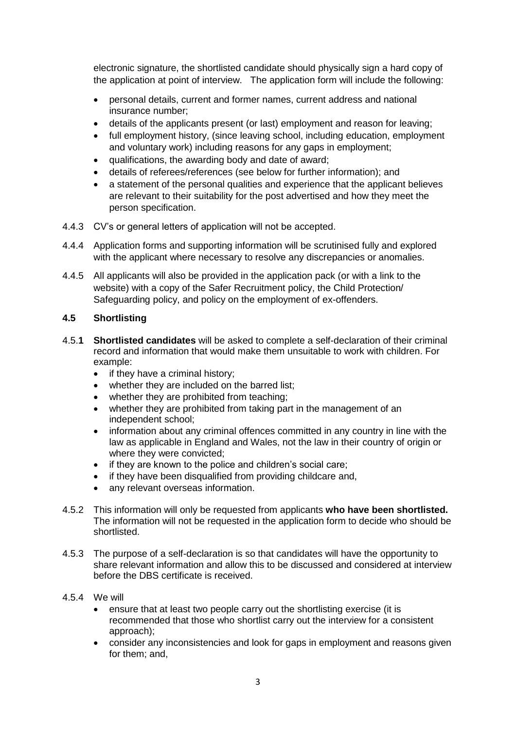electronic signature, the shortlisted candidate should physically sign a hard copy of the application at point of interview. The application form will include the following:

- personal details, current and former names, current address and national insurance number;
- details of the applicants present (or last) employment and reason for leaving;
- full employment history, (since leaving school, including education, employment and voluntary work) including reasons for any gaps in employment;
- qualifications, the awarding body and date of award;
- details of referees/references (see below for further information); and
- a statement of the personal qualities and experience that the applicant believes are relevant to their suitability for the post advertised and how they meet the person specification.
- 4.4.3 CV's or general letters of application will not be accepted.
- 4.4.4 Application forms and supporting information will be scrutinised fully and explored with the applicant where necessary to resolve any discrepancies or anomalies.
- 4.4.5 All applicants will also be provided in the application pack (or with a link to the website) with a copy of the Safer Recruitment policy, the Child Protection/ Safeguarding policy, and policy on the employment of ex-offenders.

# **4.5 Shortlisting**

- 4.5.**1 Shortlisted candidates** will be asked to complete a self-declaration of their criminal record and information that would make them unsuitable to work with children. For example:
	- if they have a criminal history;
	- whether they are included on the barred list;
	- whether they are prohibited from teaching;
	- whether they are prohibited from taking part in the management of an independent school;
	- information about any criminal offences committed in any country in line with the law as applicable in England and Wales, not the law in their country of origin or where they were convicted;
	- if they are known to the police and children's social care;
	- if they have been disqualified from providing childcare and,
	- any relevant overseas information.
- 4.5.2 This information will only be requested from applicants **who have been shortlisted.** The information will not be requested in the application form to decide who should be shortlisted.
- 4.5.3 The purpose of a self-declaration is so that candidates will have the opportunity to share relevant information and allow this to be discussed and considered at interview before the DBS certificate is received.
- 4.5.4 We will
	- ensure that at least two people carry out the shortlisting exercise (it is recommended that those who shortlist carry out the interview for a consistent approach);
	- consider any inconsistencies and look for gaps in employment and reasons given for them; and,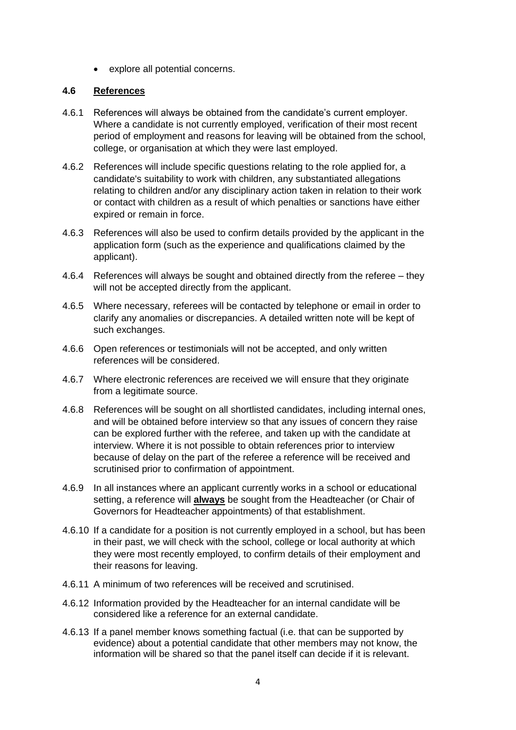• explore all potential concerns.

## **4.6 References**

- 4.6.1 References will always be obtained from the candidate's current employer. Where a candidate is not currently employed, verification of their most recent period of employment and reasons for leaving will be obtained from the school, college, or organisation at which they were last employed.
- 4.6.2 References will include specific questions relating to the role applied for, a candidate's suitability to work with children, any substantiated allegations relating to children and/or any disciplinary action taken in relation to their work or contact with children as a result of which penalties or sanctions have either expired or remain in force.
- 4.6.3 References will also be used to confirm details provided by the applicant in the application form (such as the experience and qualifications claimed by the applicant).
- 4.6.4 References will always be sought and obtained directly from the referee they will not be accepted directly from the applicant.
- 4.6.5 Where necessary, referees will be contacted by telephone or email in order to clarify any anomalies or discrepancies. A detailed written note will be kept of such exchanges.
- 4.6.6 Open references or testimonials will not be accepted, and only written references will be considered.
- 4.6.7 Where electronic references are received we will ensure that they originate from a legitimate source.
- 4.6.8 References will be sought on all shortlisted candidates, including internal ones, and will be obtained before interview so that any issues of concern they raise can be explored further with the referee, and taken up with the candidate at interview. Where it is not possible to obtain references prior to interview because of delay on the part of the referee a reference will be received and scrutinised prior to confirmation of appointment.
- 4.6.9 In all instances where an applicant currently works in a school or educational setting, a reference will **always** be sought from the Headteacher (or Chair of Governors for Headteacher appointments) of that establishment.
- 4.6.10 If a candidate for a position is not currently employed in a school, but has been in their past, we will check with the school, college or local authority at which they were most recently employed, to confirm details of their employment and their reasons for leaving.
- 4.6.11 A minimum of two references will be received and scrutinised.
- 4.6.12 Information provided by the Headteacher for an internal candidate will be considered like a reference for an external candidate.
- 4.6.13 If a panel member knows something factual (i.e. that can be supported by evidence) about a potential candidate that other members may not know, the information will be shared so that the panel itself can decide if it is relevant.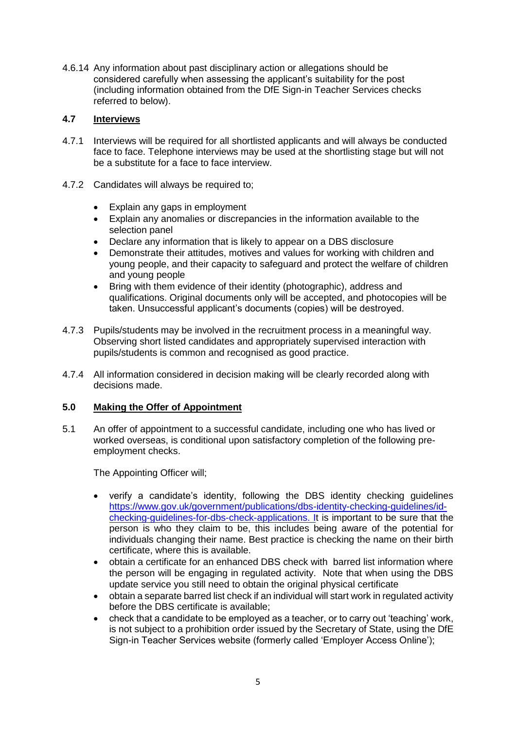4.6.14 Any information about past disciplinary action or allegations should be considered carefully when assessing the applicant's suitability for the post (including information obtained from the DfE Sign-in Teacher Services checks referred to below).

# **4.7 Interviews**

- 4.7.1 Interviews will be required for all shortlisted applicants and will always be conducted face to face. Telephone interviews may be used at the shortlisting stage but will not be a substitute for a face to face interview.
- 4.7.2 Candidates will always be required to;
	- Explain any gaps in employment
	- Explain any anomalies or discrepancies in the information available to the selection panel
	- Declare any information that is likely to appear on a DBS disclosure
	- Demonstrate their attitudes, motives and values for working with children and young people, and their capacity to safeguard and protect the welfare of children and young people
	- Bring with them evidence of their identity (photographic), address and qualifications. Original documents only will be accepted, and photocopies will be taken. Unsuccessful applicant's documents (copies) will be destroyed.
- 4.7.3 Pupils/students may be involved in the recruitment process in a meaningful way. Observing short listed candidates and appropriately supervised interaction with pupils/students is common and recognised as good practice.
- 4.7.4 All information considered in decision making will be clearly recorded along with decisions made.

## **5.0 Making the Offer of Appointment**

5.1 An offer of appointment to a successful candidate, including one who has lived or worked overseas, is conditional upon satisfactory completion of the following preemployment checks.

The Appointing Officer will;

- verify a candidate's identity, following the DBS identity checking guidelines [https://www.gov.uk/government/publications/dbs-identity-checking-guidelines/id](https://www.gov.uk/government/publications/dbs-identity-checking-guidelines/id-checking-guidelines-for-dbs-check-applications)[checking-guidelines-for-dbs-check-applications.](https://www.gov.uk/government/publications/dbs-identity-checking-guidelines/id-checking-guidelines-for-dbs-check-applications) It is important to be sure that the person is who they claim to be, this includes being aware of the potential for individuals changing their name. Best practice is checking the name on their birth certificate, where this is available.
- obtain a certificate for an enhanced DBS check with barred list information where the person will be engaging in regulated activity. Note that when using the DBS update service you still need to obtain the original physical certificate
- obtain a separate barred list check if an individual will start work in regulated activity before the DBS certificate is available;
- check that a candidate to be employed as a teacher, or to carry out 'teaching' work, is not subject to a prohibition order issued by the Secretary of State, using the DfE Sign-in Teacher Services website (formerly called 'Employer Access Online');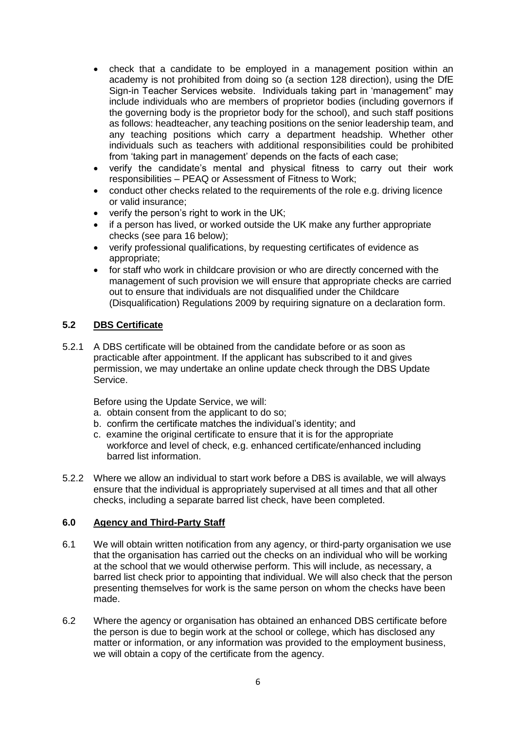- check that a candidate to be employed in a management position within an academy is not prohibited from doing so (a section 128 direction), using the DfE Sign-in Teacher Services website. Individuals taking part in 'management" may include individuals who are members of proprietor bodies (including governors if the governing body is the proprietor body for the school), and such staff positions as follows: headteacher, any teaching positions on the senior leadership team, and any teaching positions which carry a department headship. Whether other individuals such as teachers with additional responsibilities could be prohibited from 'taking part in management' depends on the facts of each case;
- verify the candidate's mental and physical fitness to carry out their work responsibilities – PEAQ or Assessment of Fitness to Work;
- conduct other checks related to the requirements of the role e.g. driving licence or valid insurance;
- verify the person's right to work in the UK;
- if a person has lived, or worked outside the UK make any further appropriate checks (see para 16 below);
- verify professional qualifications, by requesting certificates of evidence as appropriate;
- for staff who work in childcare provision or who are directly concerned with the management of such provision we will ensure that appropriate checks are carried out to ensure that individuals are not disqualified under the Childcare (Disqualification) Regulations 2009 by requiring signature on a declaration form.

## **5.2 DBS Certificate**

5.2.1 A DBS certificate will be obtained from the candidate before or as soon as practicable after appointment. If the applicant has subscribed to it and gives permission, we may undertake an online update check through the DBS Update Service.

Before using the Update Service, we will:

- a. obtain consent from the applicant to do so;
- b. confirm the certificate matches the individual's identity; and
- c. examine the original certificate to ensure that it is for the appropriate workforce and level of check, e.g. enhanced certificate/enhanced including barred list information.
- 5.2.2 Where we allow an individual to start work before a DBS is available, we will always ensure that the individual is appropriately supervised at all times and that all other checks, including a separate barred list check, have been completed.

#### **6.0 Agency and Third-Party Staff**

- 6.1 We will obtain written notification from any agency, or third-party organisation we use that the organisation has carried out the checks on an individual who will be working at the school that we would otherwise perform. This will include, as necessary, a barred list check prior to appointing that individual. We will also check that the person presenting themselves for work is the same person on whom the checks have been made.
- 6.2 Where the agency or organisation has obtained an enhanced DBS certificate before the person is due to begin work at the school or college, which has disclosed any matter or information, or any information was provided to the employment business, we will obtain a copy of the certificate from the agency.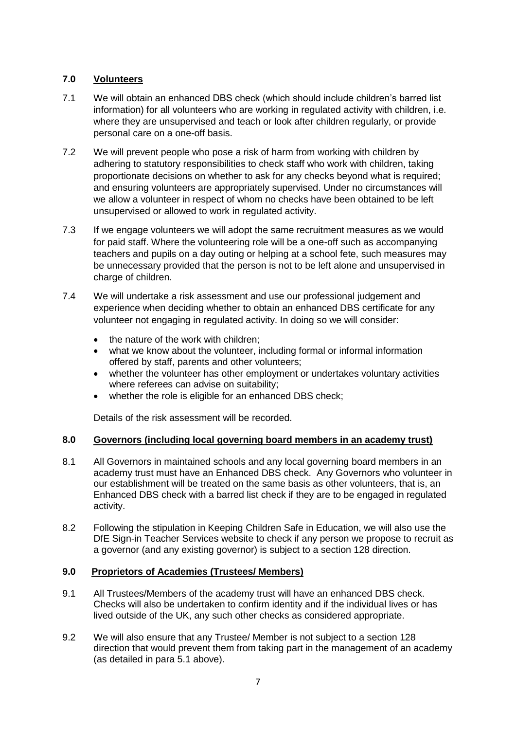# **7.0 Volunteers**

- 7.1 We will obtain an enhanced DBS check (which should include children's barred list information) for all volunteers who are working in regulated activity with children, i.e. where they are unsupervised and teach or look after children regularly, or provide personal care on a one-off basis.
- 7.2 We will prevent people who pose a risk of harm from working with children by adhering to statutory responsibilities to check staff who work with children, taking proportionate decisions on whether to ask for any checks beyond what is required; and ensuring volunteers are appropriately supervised. Under no circumstances will we allow a volunteer in respect of whom no checks have been obtained to be left unsupervised or allowed to work in regulated activity.
- 7.3 If we engage volunteers we will adopt the same recruitment measures as we would for paid staff. Where the volunteering role will be a one-off such as accompanying teachers and pupils on a day outing or helping at a school fete, such measures may be unnecessary provided that the person is not to be left alone and unsupervised in charge of children.
- 7.4 We will undertake a risk assessment and use our professional judgement and experience when deciding whether to obtain an enhanced DBS certificate for any volunteer not engaging in regulated activity. In doing so we will consider:
	- the nature of the work with children:
	- what we know about the volunteer, including formal or informal information offered by staff, parents and other volunteers;
	- whether the volunteer has other employment or undertakes voluntary activities where referees can advise on suitability;
	- whether the role is eligible for an enhanced DBS check:

Details of the risk assessment will be recorded.

## **8.0 Governors (including local governing board members in an academy trust)**

- 8.1 All Governors in maintained schools and any local governing board members in an academy trust must have an Enhanced DBS check. Any Governors who volunteer in our establishment will be treated on the same basis as other volunteers, that is, an Enhanced DBS check with a barred list check if they are to be engaged in regulated activity.
- 8.2 Following the stipulation in Keeping Children Safe in Education, we will also use the DfE Sign-in Teacher Services website to check if any person we propose to recruit as a governor (and any existing governor) is subject to a section 128 direction.

# **9.0 Proprietors of Academies (Trustees/ Members)**

- 9.1 All Trustees/Members of the academy trust will have an enhanced DBS check. Checks will also be undertaken to confirm identity and if the individual lives or has lived outside of the UK, any such other checks as considered appropriate.
- 9.2 We will also ensure that any Trustee/ Member is not subject to a section 128 direction that would prevent them from taking part in the management of an academy (as detailed in para 5.1 above).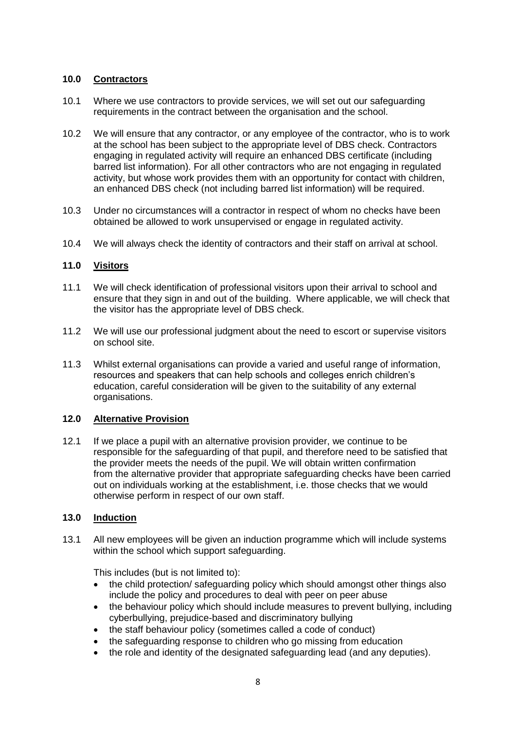# **10.0 Contractors**

- 10.1 Where we use contractors to provide services, we will set out our safeguarding requirements in the contract between the organisation and the school.
- 10.2 We will ensure that any contractor, or any employee of the contractor, who is to work at the school has been subject to the appropriate level of DBS check. Contractors engaging in regulated activity will require an enhanced DBS certificate (including barred list information). For all other contractors who are not engaging in regulated activity, but whose work provides them with an opportunity for contact with children, an enhanced DBS check (not including barred list information) will be required.
- 10.3 Under no circumstances will a contractor in respect of whom no checks have been obtained be allowed to work unsupervised or engage in regulated activity.
- 10.4 We will always check the identity of contractors and their staff on arrival at school.

## **11.0 Visitors**

- 11.1 We will check identification of professional visitors upon their arrival to school and ensure that they sign in and out of the building. Where applicable, we will check that the visitor has the appropriate level of DBS check.
- 11.2 We will use our professional judgment about the need to escort or supervise visitors on school site.
- 11.3 Whilst external organisations can provide a varied and useful range of information, resources and speakers that can help schools and colleges enrich children's education, careful consideration will be given to the suitability of any external organisations.

## **12.0 Alternative Provision**

12.1 If we place a pupil with an alternative provision provider, we continue to be responsible for the safeguarding of that pupil, and therefore need to be satisfied that the provider meets the needs of the pupil. We will obtain written confirmation from the alternative provider that appropriate safeguarding checks have been carried out on individuals working at the establishment, i.e. those checks that we would otherwise perform in respect of our own staff.

# **13.0 Induction**

13.1 All new employees will be given an induction programme which will include systems within the school which support safeguarding.

This includes (but is not limited to):

- the child protection/ safeguarding policy which should amongst other things also include the policy and procedures to deal with peer on peer abuse
- the behaviour policy which should include measures to prevent bullying, including cyberbullying, prejudice-based and discriminatory bullying
- the staff behaviour policy (sometimes called a code of conduct)
- the safeguarding response to children who go missing from education
- the role and identity of the designated safeguarding lead (and any deputies).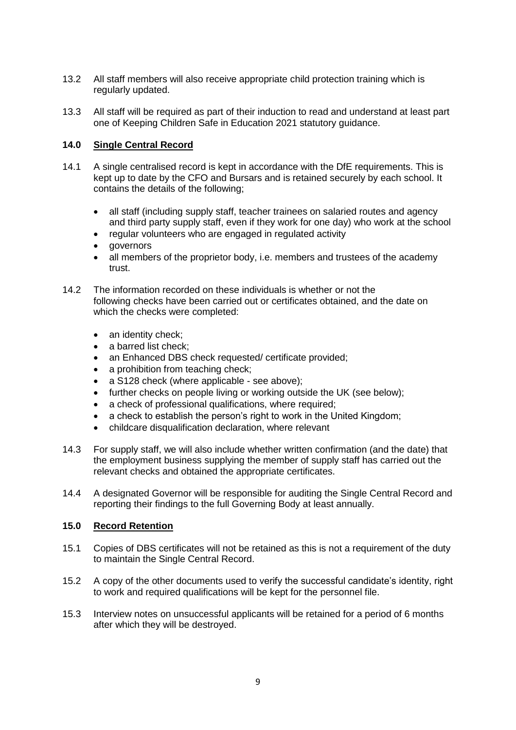- 13.2 All staff members will also receive appropriate child protection training which is regularly updated.
- 13.3 All staff will be required as part of their induction to read and understand at least part one of Keeping Children Safe in Education 2021 statutory guidance.

# **14.0 Single Central Record**

- 14.1 A single centralised record is kept in accordance with the DfE requirements. This is kept up to date by the CFO and Bursars and is retained securely by each school. It contains the details of the following;
	- all staff (including supply staff, teacher trainees on salaried routes and agency and third party supply staff, even if they work for one day) who work at the school
	- regular volunteers who are engaged in regulated activity
	- governors
	- all members of the proprietor body, i.e. members and trustees of the academy trust.
- 14.2 The information recorded on these individuals is whether or not the following checks have been carried out or certificates obtained, and the date on which the checks were completed:
	- an identity check;
	- a barred list check;
	- an Enhanced DBS check requested/ certificate provided:
	- a prohibition from teaching check;
	- a S128 check (where applicable see above);
	- further checks on people living or working outside the UK (see below);
	- a check of professional qualifications, where required:
	- a check to establish the person's right to work in the United Kingdom;
	- childcare disqualification declaration, where relevant
- 14.3 For supply staff, we will also include whether written confirmation (and the date) that the employment business supplying the member of supply staff has carried out the relevant checks and obtained the appropriate certificates.
- 14.4 A designated Governor will be responsible for auditing the Single Central Record and reporting their findings to the full Governing Body at least annually.

#### **15.0 Record Retention**

- 15.1 Copies of DBS certificates will not be retained as this is not a requirement of the duty to maintain the Single Central Record.
- 15.2 A copy of the other documents used to verify the successful candidate's identity, right to work and required qualifications will be kept for the personnel file.
- 15.3 Interview notes on unsuccessful applicants will be retained for a period of 6 months after which they will be destroyed.